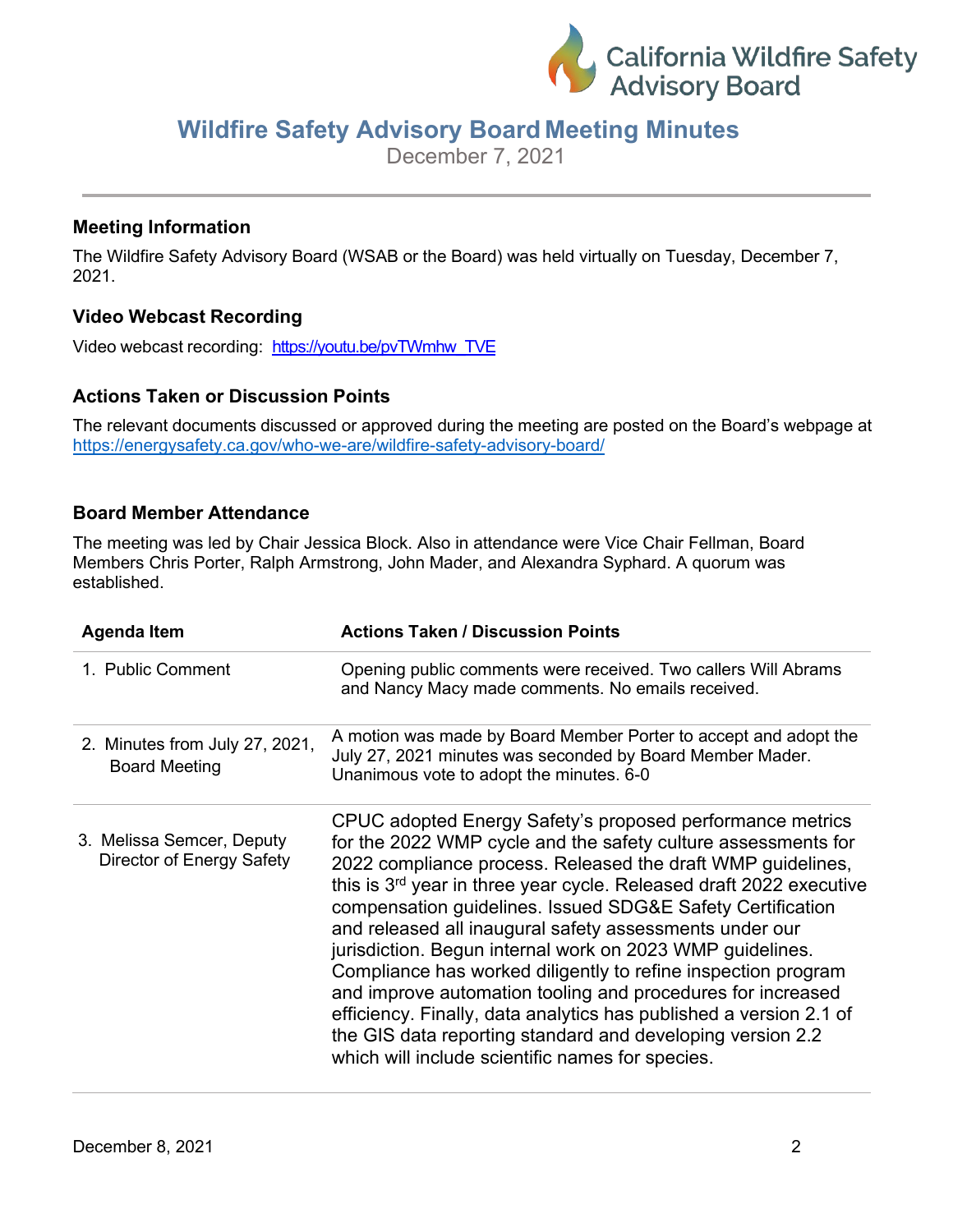

# **Wildfire Safety Advisory Board Meeting Minutes**

December 7, 2021

#### **Meeting Information**

The Wildfire Safety Advisory Board (WSAB or the Board) was held virtually on Tuesday, December 7, 2021.

## **Video Webcast Recording**

Video webcast recording: [https://youtu.be/pvTWmhw\\_TVE](https://youtu.be/pvTWmhw_TVE)

## **Actions Taken or Discussion Points**

The relevant documents discussed or approved during the meeting are posted on the Board's webpage at <https://energysafety.ca.gov/who-we-are/wildfire-safety-advisory-board/>

#### **Board Member Attendance**

The meeting was led by Chair Jessica Block. Also in attendance were Vice Chair Fellman, Board Members Chris Porter, Ralph Armstrong, John Mader, and Alexandra Syphard. A quorum was established.

| <b>Agenda Item</b>                                     | <b>Actions Taken / Discussion Points</b>                                                                                                                                                                                                                                                                                                                                                                                                                                                                                                                                                                                                                                                                                                                                                   |
|--------------------------------------------------------|--------------------------------------------------------------------------------------------------------------------------------------------------------------------------------------------------------------------------------------------------------------------------------------------------------------------------------------------------------------------------------------------------------------------------------------------------------------------------------------------------------------------------------------------------------------------------------------------------------------------------------------------------------------------------------------------------------------------------------------------------------------------------------------------|
| 1. Public Comment                                      | Opening public comments were received. Two callers Will Abrams<br>and Nancy Macy made comments. No emails received.                                                                                                                                                                                                                                                                                                                                                                                                                                                                                                                                                                                                                                                                        |
| 2. Minutes from July 27, 2021,<br><b>Board Meeting</b> | A motion was made by Board Member Porter to accept and adopt the<br>July 27, 2021 minutes was seconded by Board Member Mader.<br>Unanimous vote to adopt the minutes. 6-0                                                                                                                                                                                                                                                                                                                                                                                                                                                                                                                                                                                                                  |
| 3. Melissa Semcer, Deputy<br>Director of Energy Safety | CPUC adopted Energy Safety's proposed performance metrics<br>for the 2022 WMP cycle and the safety culture assessments for<br>2022 compliance process. Released the draft WMP guidelines,<br>this is 3 <sup>rd</sup> year in three year cycle. Released draft 2022 executive<br>compensation guidelines. Issued SDG&E Safety Certification<br>and released all inaugural safety assessments under our<br>jurisdiction. Begun internal work on 2023 WMP guidelines.<br>Compliance has worked diligently to refine inspection program<br>and improve automation tooling and procedures for increased<br>efficiency. Finally, data analytics has published a version 2.1 of<br>the GIS data reporting standard and developing version 2.2<br>which will include scientific names for species. |